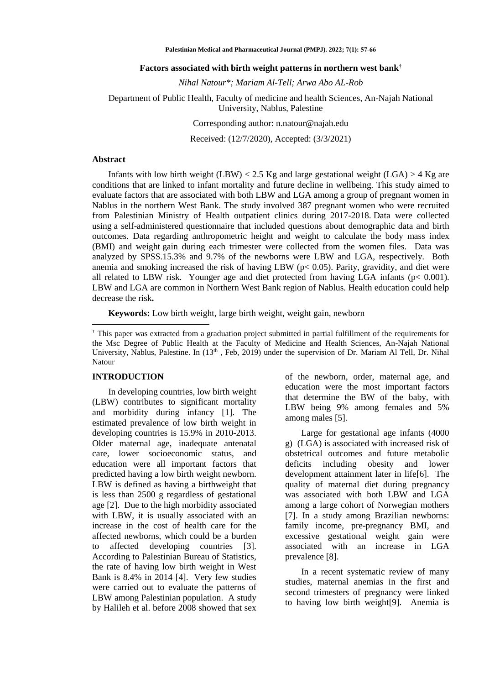**Palestinian Medical and Pharmaceutical Journal (PMPJ). 2022; 7(1): 57-66**

#### **Factors associated with birth weight patterns in northern west bank†**

*Nihal Natour\*; Mariam Al-Tell; Arwa Abo AL-Rob*

### Department of Public Health, Faculty of medicine and health Sciences, An-Najah National University, Nablus, Palestine

Corresponding author: [n.natour@najah.edu](mailto:n.natour@najah.edu)

Received: (12/7/2020), Accepted: (3/3/2021)

#### **Abstract**

Infants with low birth weight (LBW)  $< 2.5$  Kg and large gestational weight (LGA)  $> 4$  Kg are conditions that are linked to infant mortality and future decline in wellbeing. This study aimed to evaluate factors that are associated with both LBW and LGA among a group of pregnant women in Nablus in the northern West Bank. The study involved 387 pregnant women who were recruited from Palestinian Ministry of Health outpatient clinics during 2017-2018. Data were collected using a self-administered questionnaire that included questions about demographic data and birth outcomes. Data regarding anthropometric height and weight to calculate the body mass index (BMI) and weight gain during each trimester were collected from the women files. Data was analyzed by SPSS.15.3% and 9.7% of the newborns were LBW and LGA, respectively. Both anemia and smoking increased the risk of having LBW ( $p < 0.05$ ). Parity, gravidity, and diet were all related to LBW risk. Younger age and diet protected from having LGA infants (p< 0.001). LBW and LGA are common in Northern West Bank region of Nablus. Health education could help decrease the risk**.**

**Keywords:** Low birth weight, large birth weight, weight gain, newborn

† This paper was extracted from a graduation project submitted in partial fulfillment of the requirements for the Msc Degree of Public Health at the Faculty of Medicine and Health Sciences, An-Najah National University, Nablus, Palestine. In (13<sup>th</sup>, Feb, 2019) under the supervision of Dr. Mariam Al Tell, Dr. Nihal Natour

#### **INTRODUCTION**

In developing countries, low birth weight (LBW) contributes to significant mortality and morbidity during infancy [1]. The estimated prevalence of low birth weight in developing countries is 15.9% in 2010-2013. Older maternal age, inadequate antenatal care, lower socioeconomic status, and education were all important factors that predicted having a low birth weight newborn. LBW is defined as having a birthweight that is less than 2500 g regardless of gestational age [2]. Due to the high morbidity associated with LBW, it is usually associated with an increase in the cost of health care for the affected newborns, which could be a burden to affected developing countries [3]. According to Palestinian Bureau of Statistics, the rate of having low birth weight in West Bank is 8.4% in 2014 [4]. Very few studies were carried out to evaluate the patterns of LBW among Palestinian population. A study by Halileh et al. before 2008 showed that sex

of the newborn, order, maternal age, and education were the most important factors that determine the BW of the baby, with LBW being 9% among females and 5% among males [5].

Large for gestational age infants (4000 g) (LGA) is associated with increased risk of obstetrical outcomes and future metabolic deficits including obesity and lower development attainment later in life[6]. The quality of maternal diet during pregnancy was associated with both LBW and LGA among a large cohort of Norwegian mothers [7]. In a study among Brazilian newborns: family income, pre-pregnancy BMI, and excessive gestational weight gain were associated with an increase in LGA prevalence [8].

In a recent systematic review of many studies, maternal anemias in the first and second trimesters of pregnancy were linked to having low birth weight[9]. Anemia is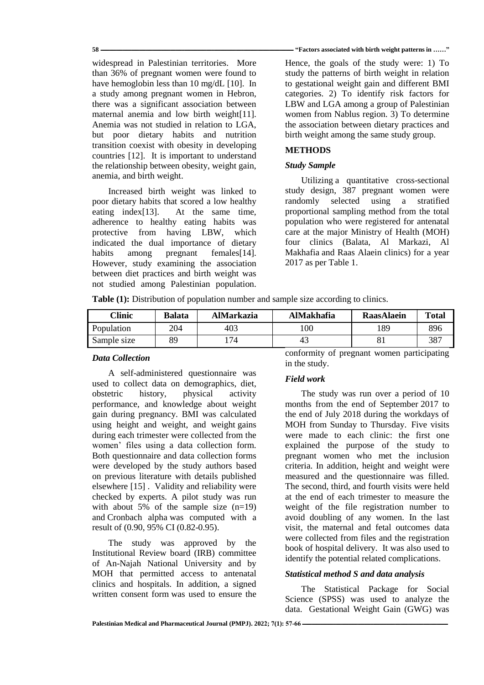widespread in Palestinian territories. More than 36% of pregnant women were found to have hemoglobin less than 10 mg/dL [10]. In a study among pregnant women in Hebron, there was a significant association between maternal anemia and low birth weight[11]. Anemia was not studied in relation to LGA, but poor dietary habits and nutrition transition coexist with obesity in developing countries [12]. It is important to understand the relationship between obesity, weight gain, anemia, and birth weight.

Increased birth weight was linked to poor dietary habits that scored a low healthy eating index[13]. At the same time, adherence to healthy eating habits was protective from having LBW, which indicated the dual importance of dietary habits among pregnant females<sup>[14]</sup>. However, study examining the association between diet practices and birth weight was not studied among Palestinian population.

#### **58 ــــــــــــــــــــــــــــــــــــــــــــــــــــــــــــــــــــــــــــــــــــــــــــــــــــــــــــــــــــــــــــــــــــــــــــــــــــــ" Factors associated with birth weight patterns in ……"**

Hence, the goals of the study were: 1) To study the patterns of birth weight in relation to gestational weight gain and different BMI categories. 2) To identify risk factors for LBW and LGA among a group of Palestinian women from Nablus region. 3) To determine the association between dietary practices and birth weight among the same study group.

# **METHODS**

# *Study Sample*

Utilizing a quantitative cross-sectional study design, 387 pregnant women were randomly selected using a stratified proportional sampling method from the total population who were registered for antenatal care at the major Ministry of Health (MOH) four clinics (Balata, Al Markazi, Al Makhafia and Raas Alaein clinics) for a year 2017 as per Table 1.

**Table (1):** Distribution of population number and sample size according to clinics.

| <b>Clinic</b> | <b>Balata</b> | <b>AlMarkazia</b> | AlMakhafia | <b>RaasAlaein</b> | <b>Total</b> |
|---------------|---------------|-------------------|------------|-------------------|--------------|
| Population    | 204           | 403               | 100        | 189               | 896          |
| Sample size   | 89            | 74                | 43         |                   | 387          |

## *Data Collection*

A self-administered questionnaire was used to collect data on demographics, diet, obstetric history, physical activity performance, and knowledge about weight gain during pregnancy. BMI was calculated using height and weight, and weight gains during each trimester were collected from the women' files using a data collection form. Both questionnaire and data collection forms were developed by the study authors based on previous literature with details published elsewhere [15] . Validity and reliability were checked by experts. A pilot study was run with about 5% of the sample size  $(n=19)$ and Cronbach alpha was computed with a result of (0.90, 95% CI (0.82-0.95).

The study was approved by the Institutional Review board (IRB) committee of An-Najah National University and by MOH that permitted access to antenatal clinics and hospitals. In addition, a signed written consent form was used to ensure the

conformity of pregnant women participating in the study.

# *Field work*

The study was run over a period of 10 months from the end of September 2017 to the end of July 2018 during the workdays of MOH from Sunday to Thursday. Five visits were made to each clinic: the first one explained the purpose of the study to pregnant women who met the inclusion criteria. In addition, height and weight were measured and the questionnaire was filled. The second, third, and fourth visits were held at the end of each trimester to measure the weight of the file registration number to avoid doubling of any women. In the last visit, the maternal and fetal outcomes data were collected from files and the registration book of hospital delivery. It was also used to identify the potential related complications.

# *Statistical method S and data analysis*

The Statistical Package for Social Science (SPSS) was used to analyze the data. Gestational Weight Gain (GWG) was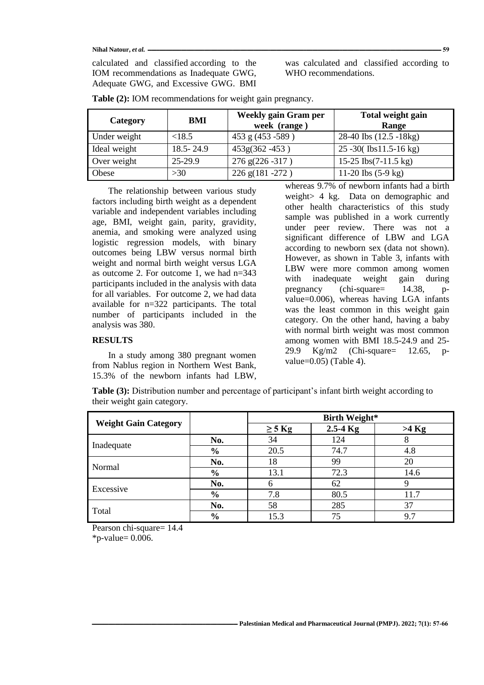Nihal Natour, et al.  $\frac{1}{2}$  = 59

calculated and classified according to the IOM recommendations as Inadequate GWG, Adequate GWG, and Excessive GWG. BMI

was calculated and classified according to WHO recommendations.

| Category     | BMI           | <b>Weekly gain Gram per</b><br>week (range) | Total weight gain<br>Range            |
|--------------|---------------|---------------------------------------------|---------------------------------------|
| Under weight | <18.5         | 453 g (453 - 589)                           | 28-40 lbs (12.5 -18kg)                |
| Ideal weight | $18.5 - 24.9$ | $453g(362 - 453)$                           | $25 - 30$ (Ibs11.5-16 kg)             |
| Over weight  | 25-29.9       | 276 g(226 -317)                             | 15-25 $\text{Ibs}(7-11.5 \text{ kg})$ |
| Obese        | >30           | $226$ g(181 -272)                           | 11-20 lbs $(5-9 \text{ kg})$          |

**Table (2):** IOM recommendations for weight gain pregnancy.

The relationship between various study factors including birth weight as a dependent variable and independent variables including age, BMI, weight gain, parity, gravidity, anemia, and smoking were analyzed using logistic regression models, with binary outcomes being LBW versus normal birth weight and normal birth weight versus LGA as outcome 2. For outcome 1, we had n=343 participants included in the analysis with data for all variables. For outcome 2, we had data available for n=322 participants. The total number of participants included in the analysis was 380.

### **RESULTS**

In a study among 380 pregnant women from Nablus region in Northern West Bank, 15.3% of the newborn infants had LBW,

whereas 9.7% of newborn infants had a birth weight> 4 kg. Data on demographic and other health characteristics of this study sample was published in a work currently under peer review. There was not a significant difference of LBW and LGA according to newborn sex (data not shown). However, as shown in Table 3, infants with LBW were more common among women with inadequate weight gain during pregnancy (chi-square= 14.38, pvalue=0.006), whereas having LGA infants was the least common in this weight gain category. On the other hand, having a baby with normal birth weight was most common among women with BMI 18.5-24.9 and 25- 29.9 Kg/m2 (Chi-square= 12.65, pvalue= $0.05$ ) (Table 4).

|                             | Table (3): Distribution number and percentage of participant's infant birth weight according to |
|-----------------------------|-------------------------------------------------------------------------------------------------|
| their weight gain category. |                                                                                                 |

|                             |               | <b>Birth Weight*</b> |              |         |  |
|-----------------------------|---------------|----------------------|--------------|---------|--|
| <b>Weight Gain Category</b> |               | $\geq$ 5 Kg          | $2.5 - 4$ Kg | $>4$ Kg |  |
|                             | No.           | 34                   | 124          |         |  |
| Inadequate                  | $\frac{6}{6}$ | 20.5                 | 74.7         | 4.8     |  |
|                             | No.           | 18                   | 99           | 20      |  |
| Normal                      | $\frac{6}{6}$ | 13.1                 | 72.3         | 14.6    |  |
| Excessive                   | No.           |                      | 62           |         |  |
|                             | $\frac{6}{6}$ | 7.8                  | 80.5         | 11.7    |  |
| Total                       | No.           | 58                   | 285          | 37      |  |
|                             | $\frac{6}{6}$ | 15.3                 | 75           | 9.7     |  |

Pearson chi-square= 14.4  $*$ p-value= 0.006.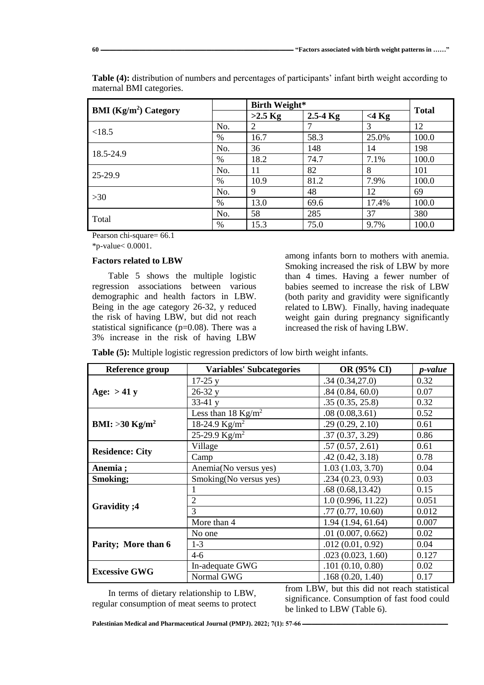|                                          |      | <b>Birth Weight*</b> |              |          | <b>Total</b> |
|------------------------------------------|------|----------------------|--------------|----------|--------------|
| <b>BMI</b> (Kg/m <sup>2</sup> ) Category |      | $>2.5$ Kg            | $2.5 - 4$ Kg | $<$ 4 Kg |              |
| <18.5                                    | No.  | 2                    |              | 3        | 12           |
|                                          | $\%$ | 16.7                 | 58.3         | 25.0%    | 100.0        |
| 18.5-24.9                                | No.  | 36                   | 148          | 14       | 198          |
|                                          | $\%$ | 18.2                 | 74.7         | 7.1%     | 100.0        |
| 25-29.9                                  | No.  | 11                   | 82           | 8        | 101          |
|                                          | %    | 10.9                 | 81.2         | 7.9%     | 100.0        |
| $>30$                                    | No.  | 9                    | 48           | 12       | 69           |
|                                          | %    | 13.0                 | 69.6         | 17.4%    | 100.0        |
| Total                                    | No.  | 58                   | 285          | 37       | 380          |
|                                          | %    | 15.3                 | 75.0         | 9.7%     | 100.0        |

**Table (4):** distribution of numbers and percentages of participants' infant birth weight according to maternal BMI categories.

Pearson chi-square= 66.1

\*p-value< 0.0001.

### **Factors related to LBW**

Table 5 shows the multiple logistic regression associations between various demographic and health factors in LBW. Being in the age category 26-32, y reduced the risk of having LBW, but did not reach statistical significance ( $p=0.08$ ). There was a 3% increase in the risk of having LBW

among infants born to mothers with anemia. Smoking increased the risk of LBW by more than 4 times. Having a fewer number of babies seemed to increase the risk of LBW (both parity and gravidity were significantly related to LBW). Finally, having inadequate weight gain during pregnancy significantly increased the risk of having LBW.

**Table (5):** Multiple logistic regression predictors of low birth weight infants.

| Reference group              | <b>Variables' Subcategories</b> | OR (95% CI)        | p-value |
|------------------------------|---------------------------------|--------------------|---------|
|                              | $17-25y$                        | .34(0.34,27.0)     | 0.32    |
| Age: $> 41 y$                | $26-32y$                        | .84(0.84, 60.0)    | 0.07    |
|                              | $33-41y$                        | .35(0.35, 25.8)    | 0.32    |
|                              | Less than 18 $Kg/m^2$           | .08(0.08, 3.61)    | 0.52    |
| BMI: $>30$ Kg/m <sup>2</sup> | 18-24.9 $Kg/m^2$                | .29(0.29, 2.10)    | 0.61    |
|                              | 25-29.9 $Kg/m^2$                | .37(0.37, 3.29)    | 0.86    |
| <b>Residence: City</b>       | Village                         | .57(0.57, 2.61)    | 0.61    |
|                              | Camp                            | .42(0.42, 3.18)    | 0.78    |
| Anemia;                      | Anemia(No versus yes)           | 1.03(1.03, 3.70)   | 0.04    |
| Smoking;                     | Smoking(No versus yes)          | .234(0.23, 0.93)   | 0.03    |
|                              |                                 | .68(0.68, 13.42)   | 0.15    |
|                              | 2                               | 1.0(0.996, 11.22)  | 0.051   |
| Gravidity ; 4                | 3                               | .77(0.77, 10.60)   | 0.012   |
|                              | More than 4                     | 1.94 (1.94, 61.64) | 0.007   |
|                              | No one                          | .01(0.007, 0.662)  | 0.02    |
| Parity; More than 6          | $1-3$                           | .012(0.01, 0.92)   | 0.04    |
|                              | $4 - 6$                         | .023(0.023, 1.60)  | 0.127   |
| <b>Excessive GWG</b>         | In-adequate GWG                 | .101(0.10, 0.80)   | 0.02    |
|                              | Normal GWG                      | .168(0.20, 1.40)   | 0.17    |

In terms of dietary relationship to LBW, regular consumption of meat seems to protect

from LBW, but this did not reach statistical significance. Consumption of fast food could be linked to LBW (Table 6).

[Palestinian Medical and Pharmaceutical Journal \(PMPJ\).](https://journals.najah.edu/journal/pmpj/browse-by-issue/)  $2022$ ;  $7(1)$ : 57-66 **-**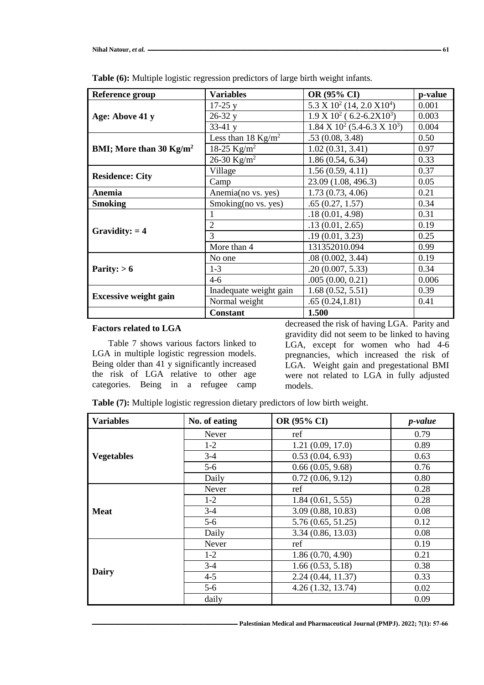| <b>Reference group</b>            | <b>Variables</b>       | OR (95% CI)                                                     | p-value |
|-----------------------------------|------------------------|-----------------------------------------------------------------|---------|
|                                   | $17-25y$               | $5.3 \text{ X } 10^2 \ (14, 2.0 \text{ X } 10^4)$               | 0.001   |
| Age: Above 41 y                   | $26-32y$               | $1.9 \text{ X } 10^2$ (6.2-6.2X $10^3$ )                        | 0.003   |
|                                   | $33-41y$               | $1.84 \text{ X } 10^2 \left( 5.4 - 6.3 \text{ X } 10^3 \right)$ | 0.004   |
|                                   | Less than 18 $Kg/m^2$  | .53(0.08, 3.48)                                                 | 0.50    |
| BMI; More than 30 $\text{Kg/m}^2$ | 18-25 $Kg/m^2$         | 1.02(0.31, 3.41)                                                | 0.97    |
|                                   | 26-30 $Kg/m^2$         | 1.86(0.54, 6.34)                                                | 0.33    |
| <b>Residence: City</b>            | Village                | 1.56(0.59, 4.11)                                                | 0.37    |
|                                   | Camp                   | 23.09 (1.08, 496.3)                                             | 0.05    |
| Anemia                            | Anemia (no vs. yes)    | 1.73(0.73, 4.06)                                                | 0.21    |
| <b>Smoking</b>                    | Smoking(no vs. yes)    | .65(0.27, 1.57)                                                 | 0.34    |
|                                   |                        | .18(0.01, 4.98)                                                 | 0.31    |
| Gravidity: $= 4$                  | 2                      | .13(0.01, 2.65)                                                 | 0.19    |
|                                   | 3                      | .19(0.01, 3.23)                                                 | 0.25    |
|                                   | More than 4            | 131352010.094                                                   | 0.99    |
|                                   | No one                 | .08(0.002, 3.44)                                                | 0.19    |
| Parity: $> 6$                     | $1-3$                  | .20(0.007, 5.33)                                                | 0.34    |
|                                   | $4-6$                  | .005(0.00, 0.21)                                                | 0.006   |
| <b>Excessive weight gain</b>      | Inadequate weight gain | 1.68(0.52, 5.51)                                                | 0.39    |
|                                   | Normal weight          | .65(0.24, 1.81)                                                 | 0.41    |
|                                   | <b>Constant</b>        | 1.500                                                           |         |

**Table (6):** Multiple logistic regression predictors of large birth weight infants.

# **Factors related to LGA**

Table 7 shows various factors linked to LGA in multiple logistic regression models. Being older than 41 y significantly increased the risk of LGA relative to other age categories. Being in a refugee camp

decreased the risk of having LGA. Parity and gravidity did not seem to be linked to having LGA, except for women who had 4-6 pregnancies, which increased the risk of LGA. Weight gain and pregestational BMI were not related to LGA in fully adjusted models.

**Table (7):** Multiple logistic regression dietary predictors of low birth weight.

| <b>Variables</b>  | No. of eating | OR (95% CI)        | <i>p</i> -value |
|-------------------|---------------|--------------------|-----------------|
|                   | Never         | ref                | 0.79            |
|                   | $1-2$         | 1.21(0.09, 17.0)   | 0.89            |
| <b>Vegetables</b> | $3-4$         | 0.53(0.04, 6.93)   | 0.63            |
|                   | $5-6$         | 0.66(0.05, 9.68)   | 0.76            |
|                   | Daily         | 0.72(0.06, 9.12)   | 0.80            |
|                   | Never         | ref                | 0.28            |
|                   | $1-2$         | 1.84(0.61, 5.55)   | 0.28            |
| <b>Meat</b>       | $3-4$         | 3.09 (0.88, 10.83) | 0.08            |
|                   | $5-6$         | 5.76(0.65, 51.25)  | 0.12            |
|                   | Daily         | 3.34 (0.86, 13.03) | 0.08            |
|                   | Never         | ref                | 0.19            |
|                   | $1-2$         | 1.86(0.70, 4.90)   | 0.21            |
| Dairy             | $3 - 4$       | 1.66(0.53, 5.18)   | 0.38            |
|                   | $4 - 5$       | 2.24(0.44, 11.37)  | 0.33            |
|                   | $5-6$         | 4.26 (1.32, 13.74) | 0.02            |
|                   | daily         |                    | 0.09            |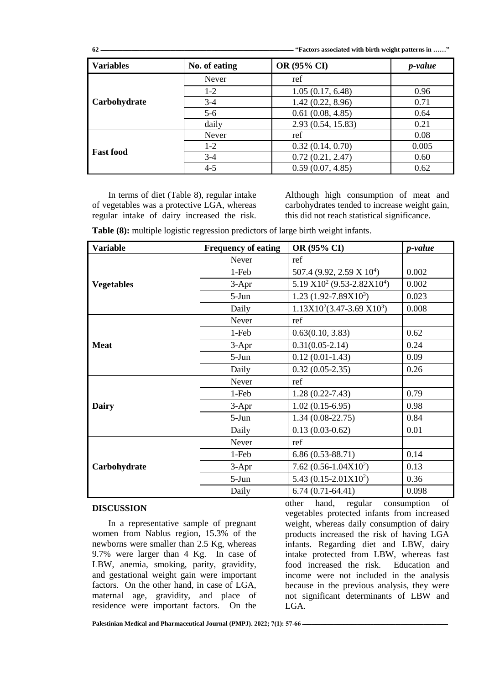**62 ــــــــــــــــــــــــــــــــــــــــــــــــــــــــــــــــــــــــــــــــــــــــــــــــــــــــــــــــــــــــــــــــــــــــــــــــــــــ" Factors associated with birth weight patterns in ……"**

| <b>Variables</b> | No. of eating | OR (95% CI)        | <i>p</i> -value |
|------------------|---------------|--------------------|-----------------|
|                  | Never         | ref                |                 |
|                  | $1-2$         | 1.05(0.17, 6.48)   | 0.96            |
| Carbohydrate     | $3-4$         | 1.42(0.22, 8.96)   | 0.71            |
|                  | $5-6$         | 0.61(0.08, 4.85)   | 0.64            |
|                  | daily         | 2.93 (0.54, 15.83) | 0.21            |
|                  | Never         | ref                | 0.08            |
|                  | $1 - 2$       | 0.32(0.14, 0.70)   | 0.005           |
| <b>Fast food</b> | $3-4$         | 0.72(0.21, 2.47)   | 0.60            |
|                  | $4 - 5$       | 0.59(0.07, 4.85)   | 0.62            |

In terms of diet (Table 8), regular intake of vegetables was a protective LGA, whereas regular intake of dairy increased the risk.

Although high consumption of meat and carbohydrates tended to increase weight gain, this did not reach statistical significance.

**Table (8):** multiple logistic regression predictors of large birth weight infants.

| <b>Variable</b>   | <b>Frequency of eating</b> | OR (95% CI)                           | <i>p</i> -value |
|-------------------|----------------------------|---------------------------------------|-----------------|
|                   | Never                      | ref                                   |                 |
|                   | 1-Feb                      | 507.4 (9.92, 2.59 X 10 <sup>4</sup> ) | 0.002           |
| <b>Vegetables</b> | $3-Apr$                    | 5.19 $X10^2$ (9.53-2.82 $X10^4$ )     | 0.002           |
|                   | $5-Jun$                    | $1.23$ (1.92-7.89X10 <sup>3</sup> )   | 0.023           |
|                   | Daily                      | $1.13X10^2(3.47-3.69 X10^3)$          | 0.008           |
|                   | Never                      | ref                                   |                 |
|                   | 1-Feb                      | 0.63(0.10, 3.83)                      | 0.62            |
| <b>Meat</b>       | $3-Apr$                    | $0.31(0.05-2.14)$                     | 0.24            |
|                   | $5-Jun$                    | $0.12(0.01-1.43)$                     | 0.09            |
|                   | Daily                      | $0.32(0.05-2.35)$                     | 0.26            |
|                   | Never                      | ref                                   |                 |
|                   | 1-Feb                      | $1.28(0.22 - 7.43)$                   | 0.79            |
| <b>Dairy</b>      | $3-Apr$                    | $1.02(0.15-6.95)$                     | 0.98            |
|                   | $5-Jun$                    | $1.34(0.08-22.75)$                    | 0.84            |
|                   | Daily                      | $0.13(0.03-0.62)$                     | 0.01            |
|                   | Never                      | ref                                   |                 |
|                   | 1-Feb                      | $6.86(0.53-88.71)$                    | 0.14            |
| Carbohydrate      | $3-Apr$                    | 7.62 $(0.56 - 1.04X10^2)$             | 0.13            |
|                   | $5-Jun$                    | 5.43 $(0.15-2.01X10^2)$               | 0.36            |
|                   | Daily                      | $6.74(0.71-64.41)$                    | 0.098           |

### **DISCUSSION**

In a representative sample of pregnant women from Nablus region, 15.3% of the newborns were smaller than 2.5 Kg, whereas 9.7% were larger than 4 Kg. In case of LBW, anemia, smoking, parity, gravidity, and gestational weight gain were important factors. On the other hand, in case of LGA, maternal age, gravidity, and place of residence were important factors. On the

other hand, regular consumption of vegetables protected infants from increased weight, whereas daily consumption of dairy products increased the risk of having LGA infants. Regarding diet and LBW, dairy intake protected from LBW, whereas fast food increased the risk. Education and income were not included in the analysis because in the previous analysis, they were not significant determinants of LBW and LGA.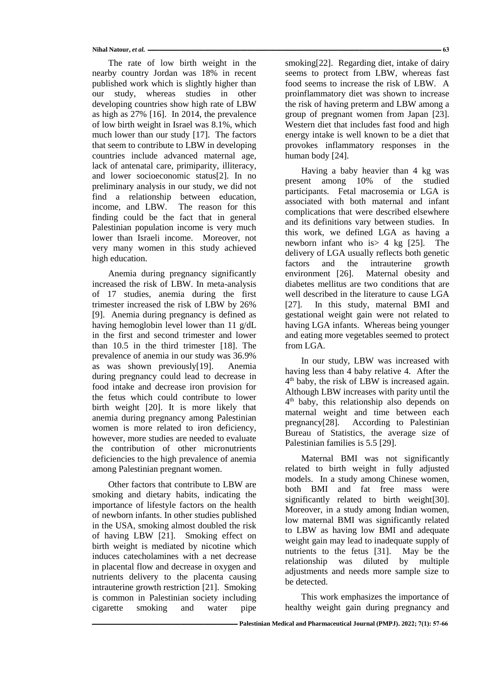Nihal Natour, et al.  $\frac{1}{2}$  =  $\frac{1}{2}$  =  $\frac{1}{2}$  =  $\frac{1}{2}$  =  $\frac{1}{2}$  =  $\frac{1}{2}$  =  $\frac{1}{2}$  =  $\frac{1}{2}$  =  $\frac{1}{2}$  =  $\frac{1}{2}$  =  $\frac{1}{2}$  =  $\frac{1}{2}$  =  $\frac{1}{2}$  =  $\frac{1}{2}$  =  $\frac{1}{2}$  =  $\frac{1}{2}$  =  $\frac{1}{2}$ 

The rate of low birth weight in the nearby country Jordan was 18% in recent published work which is slightly higher than our study, whereas studies in other developing countries show high rate of LBW as high as 27% [16]. In 2014, the prevalence of low birth weight in Israel was 8.1%, which much lower than our study [17]. The factors that seem to contribute to LBW in developing countries include advanced maternal age, lack of antenatal care, primiparity, illiteracy, and lower socioeconomic status[2]. In no preliminary analysis in our study, we did not find a relationship between education, income, and LBW. The reason for this finding could be the fact that in general Palestinian population income is very much lower than Israeli income. Moreover, not very many women in this study achieved high education.

Anemia during pregnancy significantly increased the risk of LBW. In meta-analysis of 17 studies, anemia during the first trimester increased the risk of LBW by 26% [9]. Anemia during pregnancy is defined as having hemoglobin level lower than 11 g/dL in the first and second trimester and lower than 10.5 in the third trimester [18]. The prevalence of anemia in our study was 36.9% as was shown previously[19]. Anemia during pregnancy could lead to decrease in food intake and decrease iron provision for the fetus which could contribute to lower birth weight [20]. It is more likely that anemia during pregnancy among Palestinian women is more related to iron deficiency, however, more studies are needed to evaluate the contribution of other micronutrients deficiencies to the high prevalence of anemia among Palestinian pregnant women.

Other factors that contribute to LBW are smoking and dietary habits, indicating the importance of lifestyle factors on the health of newborn infants. In other studies published in the USA, smoking almost doubled the risk of having LBW [21]. Smoking effect on birth weight is mediated by nicotine which induces catecholamines with a net decrease in placental flow and decrease in oxygen and nutrients delivery to the placenta causing intrauterine growth restriction [21]. Smoking is common in Palestinian society including cigarette smoking and water pipe

smoking[22]. Regarding diet, intake of dairy seems to protect from LBW, whereas fast food seems to increase the risk of LBW. A proinflammatory diet was shown to increase the risk of having preterm and LBW among a group of pregnant women from Japan [23]. Western diet that includes fast food and high energy intake is well known to be a diet that provokes inflammatory responses in the human body [24].

Having a baby heavier than 4 kg was present among 10% of the studied participants. Fetal macrosemia or LGA is associated with both maternal and infant complications that were described elsewhere and its definitions vary between studies. In this work, we defined LGA as having a newborn infant who is> 4 kg [25]. The delivery of LGA usually reflects both genetic factors and the intrauterine growth environment [26]. Maternal obesity and diabetes mellitus are two conditions that are well described in the literature to cause LGA [27]. In this study, maternal BMI and gestational weight gain were not related to having LGA infants. Whereas being younger and eating more vegetables seemed to protect from LGA.

In our study, LBW was increased with having less than 4 baby relative 4. After the 4 th baby, the risk of LBW is increased again. Although LBW increases with parity until the 4 th baby, this relationship also depends on maternal weight and time between each pregnancy[28]. According to Palestinian Bureau of Statistics, the average size of Palestinian families is 5.5 [29].

Maternal BMI was not significantly related to birth weight in fully adjusted models. In a study among Chinese women, both BMI and fat free mass were significantly related to birth weight[30]. Moreover, in a study among Indian women, low maternal BMI was significantly related to LBW as having low BMI and adequate weight gain may lead to inadequate supply of nutrients to the fetus [31]. May be the relationship was diluted by multiple adjustments and needs more sample size to be detected.

This work emphasizes the importance of healthy weight gain during pregnancy and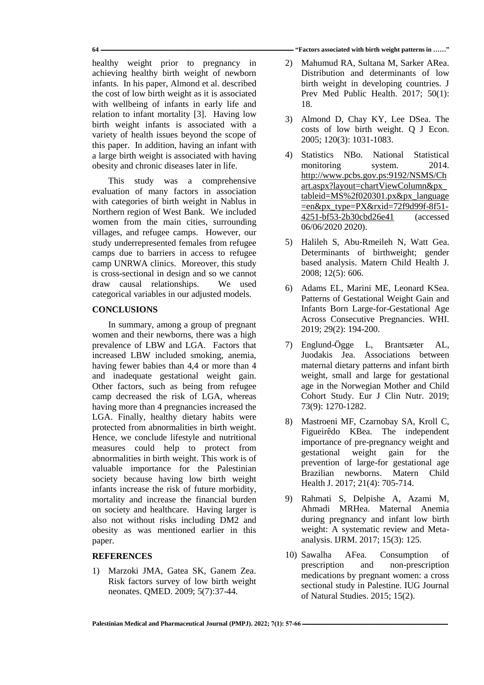**64 ــــــــــــــــــــــــــــــــــــــــــــــــــــــــــــــــــــــــــــــــــــــــــــــــــــــــــــــــــــــــــــــــــــــــــــــــــــــ" Factors associated with birth weight patterns in ……"**

healthy weight prior to pregnancy in achieving healthy birth weight of newborn infants. In his paper, Almond et al. described the cost of low birth weight as it is associated with wellbeing of infants in early life and relation to infant mortality [3]. Having low birth weight infants is associated with a variety of health issues beyond the scope of this paper. In addition, having an infant with a large birth weight is associated with having obesity and chronic diseases later in life.

This study was a comprehensive evaluation of many factors in association with categories of birth weight in Nablus in Northern region of West Bank. We included women from the main cities, surrounding villages, and refugee camps. However, our study underrepresented females from refugee camps due to barriers in access to refugee camp UNRWA clinics. Moreover, this study is cross-sectional in design and so we cannot draw causal relationships. We used categorical variables in our adjusted models.

# **CONCLUSIONS**

In summary, among a group of pregnant women and their newborns, there was a high prevalence of LBW and LGA. Factors that increased LBW included smoking, anemia, having fewer babies than 4,4 or more than 4 and inadequate gestational weight gain. Other factors, such as being from refugee camp decreased the risk of LGA, whereas having more than 4 pregnancies increased the LGA. Finally, healthy dietary habits were protected from abnormalities in birth weight. Hence, we conclude lifestyle and nutritional measures could help to protect from abnormalities in birth weight. This work is of valuable importance for the Palestinian society because having low birth weight infants increase the risk of future morbidity, mortality and increase the financial burden on society and healthcare. Having larger is also not without risks including DM2 and obesity as was mentioned earlier in this paper.

# **REFERENCES**

1) Marzoki JMA, Gatea SK, Ganem Zea. Risk factors survey of low birth weight neonates. QMED. 2009; 5(7):37-44.

- 2) Mahumud RA, Sultana M, Sarker ARea. Distribution and determinants of low birth weight in developing countries. J Prev Med Public Health. 2017; 50(1): 18.
- 3) Almond D, Chay KY, Lee DSea. The costs of low birth weight. Q J Econ. 2005; 120(3): 1031-1083.
- 4) Statistics NBo. National Statistical monitoring system. 2014. [http://www.pcbs.gov.ps:9192/NSMS/Ch](http://www.pcbs.gov.ps:9192/NSMS/Chart.aspx?layout=chartViewColumn&px_tableid=MS%2f020301.px&px_language=en&px_type=PX&rxid=72f9d99f-8f51-4251-bf53-2b30cbd26e41) [art.aspx?layout=chartViewColumn&px\\_](http://www.pcbs.gov.ps:9192/NSMS/Chart.aspx?layout=chartViewColumn&px_tableid=MS%2f020301.px&px_language=en&px_type=PX&rxid=72f9d99f-8f51-4251-bf53-2b30cbd26e41) [tableid=MS%2f020301.px&px\\_language](http://www.pcbs.gov.ps:9192/NSMS/Chart.aspx?layout=chartViewColumn&px_tableid=MS%2f020301.px&px_language=en&px_type=PX&rxid=72f9d99f-8f51-4251-bf53-2b30cbd26e41) [=en&px\\_type=PX&rxid=72f9d99f-8f51-](http://www.pcbs.gov.ps:9192/NSMS/Chart.aspx?layout=chartViewColumn&px_tableid=MS%2f020301.px&px_language=en&px_type=PX&rxid=72f9d99f-8f51-4251-bf53-2b30cbd26e41) [4251-bf53-2b30cbd26e41](http://www.pcbs.gov.ps:9192/NSMS/Chart.aspx?layout=chartViewColumn&px_tableid=MS%2f020301.px&px_language=en&px_type=PX&rxid=72f9d99f-8f51-4251-bf53-2b30cbd26e41) (accessed 06/06/2020 2020).
- 5) Halileh S, Abu-Rmeileh N, Watt Gea. Determinants of birthweight; gender based analysis. Matern Child Health J. 2008; 12(5): 606.
- 6) Adams EL, Marini ME, Leonard KSea. Patterns of Gestational Weight Gain and Infants Born Large-for-Gestational Age Across Consecutive Pregnancies. WHI. 2019; 29(2): 194-200.
- 7) Englund-Ögge L, Brantsæter AL, Juodakis Jea. Associations between maternal dietary patterns and infant birth weight, small and large for gestational age in the Norwegian Mother and Child Cohort Study. Eur J Clin Nutr. 2019; 73(9): 1270-1282.
- 8) Mastroeni MF, Czarnobay SA, Kroll C, Figueirêdo KBea. The independent importance of pre-pregnancy weight and gestational weight gain for the prevention of large-for gestational age Brazilian newborns. Matern Child Health J. 2017; 21(4): 705-714.
- 9) Rahmati S, Delpishe A, Azami M, Ahmadi MRHea. Maternal Anemia during pregnancy and infant low birth weight: A systematic review and Metaanalysis. IJRM. 2017; 15(3): 125.
- 10) Sawalha AFea. Consumption of prescription and non-prescription medications by pregnant women: a cross sectional study in Palestine. IUG Journal of Natural Studies. 2015; 15(2).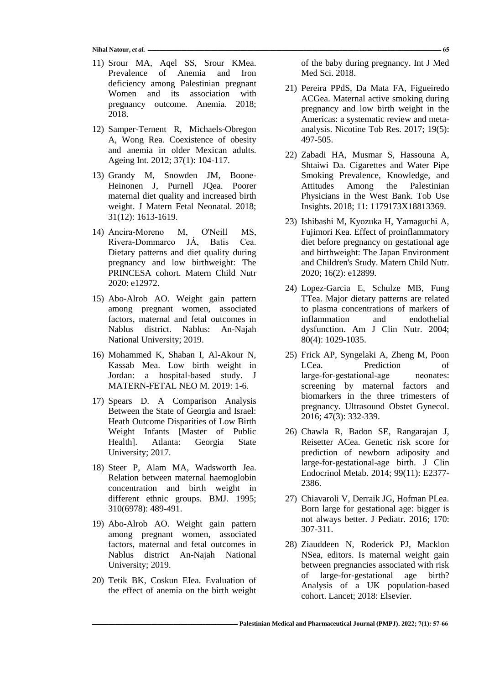**Nihal Natour,** *et al.* **ــــــــــــــــــــــــــــــــــــــــــــــــــــــــــــــــــــــــــــــــــــــــــــــــــــــــــــــــــــــــــــــــــــــــــــــــــــــــــــــــــــــــــــــــــــــــــــــــــــــــــــــــــــــــــــــــــــ 65**

- 11) Srour MA, Aqel SS, Srour KMea. Prevalence of Anemia and Iron deficiency among Palestinian pregnant Women and its association with pregnancy outcome. Anemia. 2018; 2018.
- 12) Samper-Ternent R, Michaels-Obregon A, Wong Rea. Coexistence of obesity and anemia in older Mexican adults. Ageing Int. 2012; 37(1): 104-117.
- 13) Grandy M, Snowden JM, Boone-Heinonen J, Purnell JQea. Poorer maternal diet quality and increased birth weight. J Matern Fetal Neonatal. 2018; 31(12): 1613-1619.
- 14) Ancira‐Moreno M, O'Neill MS, Rivera‐Dommarco JÁ, Batis Cea. Dietary patterns and diet quality during pregnancy and low birthweight: The PRINCESA cohort. Matern Child Nutr 2020: e12972.
- 15) Abo-Alrob AO. Weight gain pattern among pregnant women, associated factors, maternal and fetal outcomes in Nablus district. Nablus: An-Najah National University; 2019.
- 16) Mohammed K, Shaban I, Al-Akour N, Kassab Mea. Low birth weight in Jordan: a hospital-based study. J MATERN-FETAL NEO M. 2019: 1-6.
- 17) Spears D. A Comparison Analysis Between the State of Georgia and Israel: Heath Outcome Disparities of Low Birth Weight Infants [Master of Public Health]. Atlanta: Georgia State University; 2017.
- 18) Steer P, Alam MA, Wadsworth Jea. Relation between maternal haemoglobin concentration and birth weight in different ethnic groups. BMJ. 1995; 310(6978): 489-491.
- 19) Abo-Alrob AO. Weight gain pattern among pregnant women, associated factors, maternal and fetal outcomes in Nablus district An-Najah National University; 2019.
- 20) Tetik BK, Coskun EIea. Evaluation of the effect of anemia on the birth weight

of the baby during pregnancy. Int J Med Med Sci. 2018.

- 21) Pereira PPdS, Da Mata FA, Figueiredo ACGea. Maternal active smoking during pregnancy and low birth weight in the Americas: a systematic review and metaanalysis. Nicotine Tob Res. 2017; 19(5): 497-505.
- 22) Zabadi HA, Musmar S, Hassouna A, Shtaiwi Da. Cigarettes and Water Pipe Smoking Prevalence, Knowledge, and Attitudes Among the Palestinian Physicians in the West Bank. Tob Use Insights. 2018; 11: 1179173X18813369.
- 23) Ishibashi M, Kyozuka H, Yamaguchi A, Fujimori Kea. Effect of proinflammatory diet before pregnancy on gestational age and birthweight: The Japan Environment and Children's Study. Matern Child Nutr. 2020; 16(2): e12899.
- 24) Lopez-Garcia E, Schulze MB, Fung TTea. Major dietary patterns are related to plasma concentrations of markers of inflammation and endothelial dysfunction. Am J Clin Nutr. 2004; 80(4): 1029-1035.
- 25) Frick AP, Syngelaki A, Zheng M, Poon LCea. Prediction of large-for-gestational-age neonates: screening by maternal factors and biomarkers in the three trimesters of pregnancy. Ultrasound Obstet Gynecol. 2016; 47(3): 332-339.
- 26) Chawla R, Badon SE, Rangarajan J, Reisetter ACea. Genetic risk score for prediction of newborn adiposity and large-for-gestational-age birth. J Clin Endocrinol Metab. 2014; 99(11): E2377- 2386.
- 27) Chiavaroli V, Derraik JG, Hofman PLea. Born large for gestational age: bigger is not always better. J Pediatr. 2016; 170: 307-311.
- 28) Ziauddeen N, Roderick PJ, Macklon NSea, editors. Is maternal weight gain between pregnancies associated with risk of large-for-gestational age birth? Analysis of a UK population-based cohort. Lancet; 2018: Elsevier.